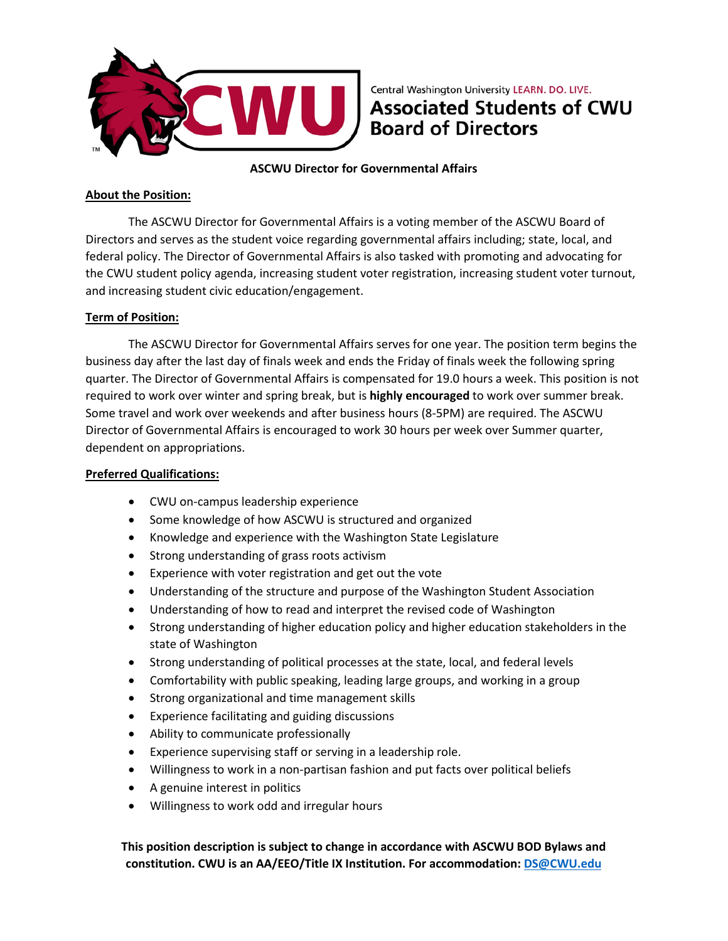

Central Washington University LEARN. DO. LIVE. **Associated Students of CWU Board of Directors** 

**ASCWU Director for Governmental Affairs**

### **About the Position:**

The ASCWU Director for Governmental Affairs is a voting member of the ASCWU Board of Directors and serves as the student voice regarding governmental affairs including; state, local, and federal policy. The Director of Governmental Affairs is also tasked with promoting and advocating for the CWU student policy agenda, increasing student voter registration, increasing student voter turnout, and increasing student civic education/engagement.

### **Term of Position:**

The ASCWU Director for Governmental Affairs serves for one year. The position term begins the business day after the last day of finals week and ends the Friday of finals week the following spring quarter. The Director of Governmental Affairs is compensated for 19.0 hours a week. This position is not required to work over winter and spring break, but is **highly encouraged** to work over summer break. Some travel and work over weekends and after business hours (8-5PM) are required. The ASCWU Director of Governmental Affairs is encouraged to work 30 hours per week over Summer quarter, dependent on appropriations.

#### **Preferred Qualifications:**

- CWU on-campus leadership experience
- Some knowledge of how ASCWU is structured and organized
- Knowledge and experience with the Washington State Legislature
- Strong understanding of grass roots activism
- Experience with voter registration and get out the vote
- Understanding of the structure and purpose of the Washington Student Association
- Understanding of how to read and interpret the revised code of Washington
- Strong understanding of higher education policy and higher education stakeholders in the state of Washington
- Strong understanding of political processes at the state, local, and federal levels
- Comfortability with public speaking, leading large groups, and working in a group
- Strong organizational and time management skills
- Experience facilitating and guiding discussions
- Ability to communicate professionally
- Experience supervising staff or serving in a leadership role.
- Willingness to work in a non-partisan fashion and put facts over political beliefs
- A genuine interest in politics
- Willingness to work odd and irregular hours

**This position description is subject to change in accordance with ASCWU BOD Bylaws and constitution. CWU is an AA/EEO/Title IX Institution. For accommodation: [DS@CWU.edu](mailto:DS@CWU.edu)**